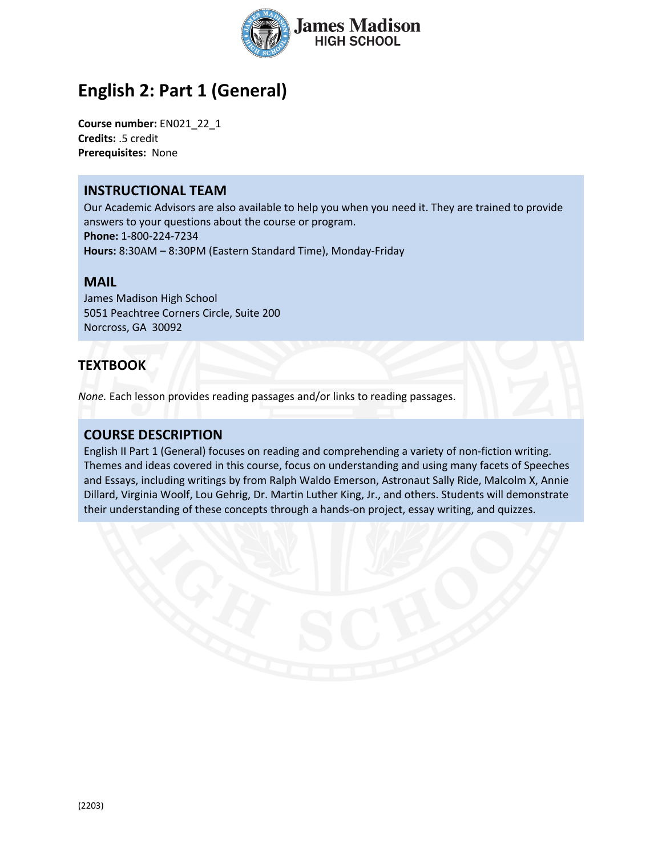

# **English 2: Part 1 (General)**

**Course number:** EN021\_22\_1 **Credits:** .5 credit **Prerequisites:** None

### **INSTRUCTIONAL TEAM**

Our Academic Advisors are also available to help you when you need it. They are trained to provide answers to your questions about the course or program. **Phone:** 1-800-224-7234 **Hours:** 8:30AM – 8:30PM (Eastern Standard Time), Monday-Friday

#### **MAIL**

James Madison High School 5051 Peachtree Corners Circle, Suite 200 Norcross, GA 30092

## **TEXTBOOK**

*None.* Each lesson provides reading passages and/or links to reading passages.

# **COURSE DESCRIPTION**

English II Part 1 (General) focuses on reading and comprehending a variety of non-fiction writing. Themes and ideas covered in this course, focus on understanding and using many facets of Speeches and Essays, including writings by from Ralph Waldo Emerson, Astronaut Sally Ride, Malcolm X, Annie Dillard, Virginia Woolf, Lou Gehrig, Dr. Martin Luther King, Jr., and others. Students will demonstrate their understanding of these concepts through a hands-on project, essay writing, and quizzes.

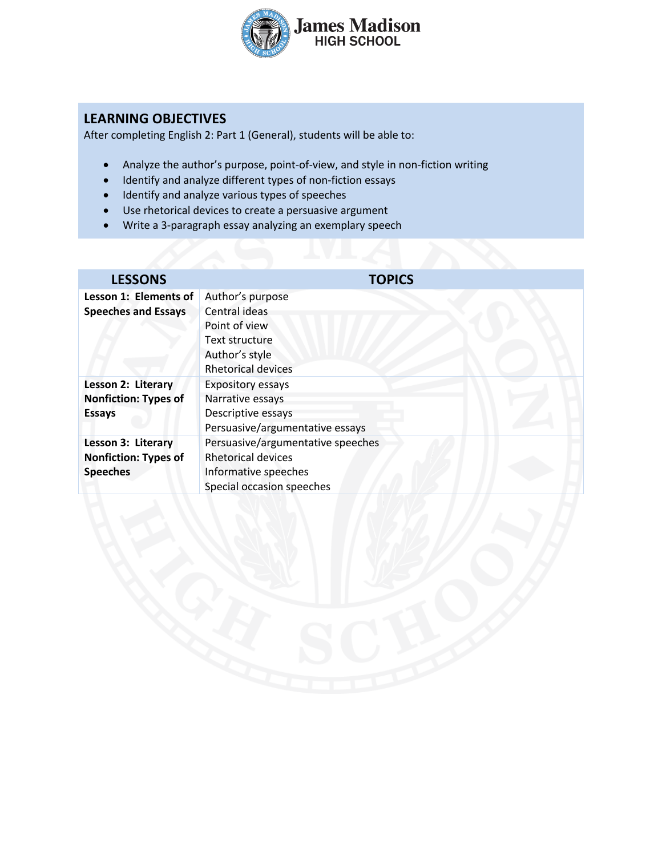

# **LEARNING OBJECTIVES**

After completing English 2: Part 1 (General), students will be able to:

- Analyze the author's purpose, point-of-view, and style in non-fiction writing
- Identify and analyze different types of non-fiction essays
- Identify and analyze various types of speeches
- Use rhetorical devices to create a persuasive argument
- Write a 3-paragraph essay analyzing an exemplary speech

| <b>LESSONS</b>              | <b>TOPICS</b>                     |
|-----------------------------|-----------------------------------|
| Lesson 1: Elements of       | Author's purpose                  |
| <b>Speeches and Essays</b>  | Central ideas                     |
|                             | Point of view                     |
|                             | Text structure                    |
|                             | Author's style                    |
|                             | <b>Rhetorical devices</b>         |
| Lesson 2: Literary          | <b>Expository essays</b>          |
| <b>Nonfiction: Types of</b> | Narrative essays                  |
| <b>Essays</b>               | Descriptive essays                |
|                             | Persuasive/argumentative essays   |
| Lesson 3: Literary          | Persuasive/argumentative speeches |
| <b>Nonfiction: Types of</b> | <b>Rhetorical devices</b>         |
| <b>Speeches</b>             | Informative speeches              |
|                             | Special occasion speeches         |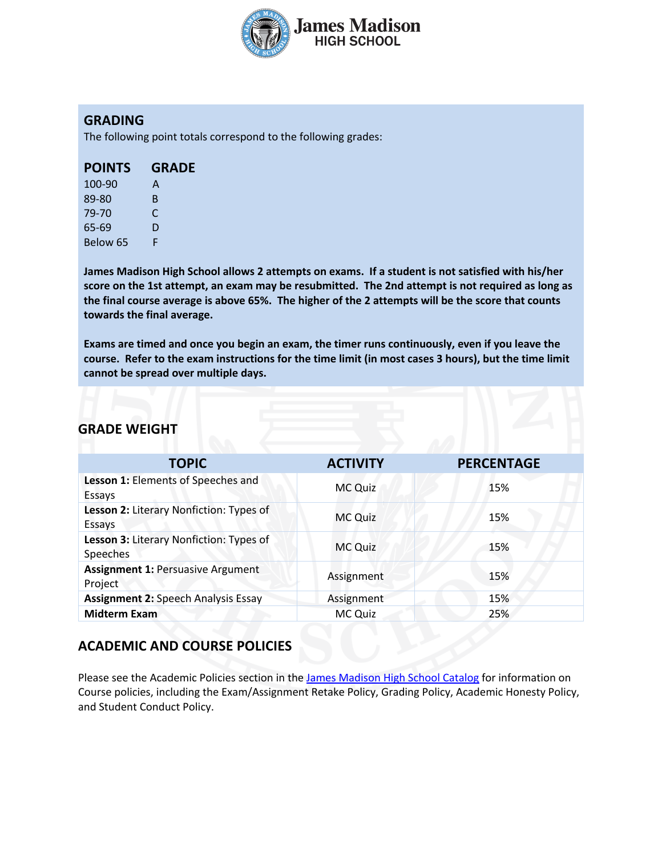

### **GRADING**

The following point totals correspond to the following grades:

| <b>POINTS</b> | <b>GRADE</b> |
|---------------|--------------|
|               |              |

| 100-90   | А  |
|----------|----|
| 89-80    | B. |
| 79-70    | C  |
| 65-69    | D  |
| Below 65 | F  |

**James Madison High School allows 2 attempts on exams. If a student is not satisfied with his/her score on the 1st attempt, an exam may be resubmitted. The 2nd attempt is not required as long as the final course average is above 65%. The higher of the 2 attempts will be the score that counts towards the final average.** 

**Exams are timed and once you begin an exam, the timer runs continuously, even if you leave the course. Refer to the exam instructions for the time limit (in most cases 3 hours), but the time limit cannot be spread over multiple days.**

# **GRADE WEIGHT**

| <b>TOPIC</b>                                        | <b>ACTIVITY</b> | <b>PERCENTAGE</b> |
|-----------------------------------------------------|-----------------|-------------------|
| Lesson 1: Elements of Speeches and<br>Essays        | <b>MC Quiz</b>  | 15%               |
| Lesson 2: Literary Nonfiction: Types of<br>Essays   | <b>MC Quiz</b>  | 15%               |
| Lesson 3: Literary Nonfiction: Types of<br>Speeches | <b>MC Quiz</b>  | 15%               |
| <b>Assignment 1: Persuasive Argument</b><br>Project | Assignment      | 15%               |
| <b>Assignment 2: Speech Analysis Essay</b>          | Assignment      | 15%               |
| <b>Midterm Exam</b>                                 | MC Quiz         | 25%               |

### **ACADEMIC AND COURSE POLICIES**

Please see the Academic Policies section in the James Madison High School Catalog for information on Course policies, including the Exam/Assignment Retake Policy, Grading Policy, Academic Honesty Policy, and Student Conduct Policy.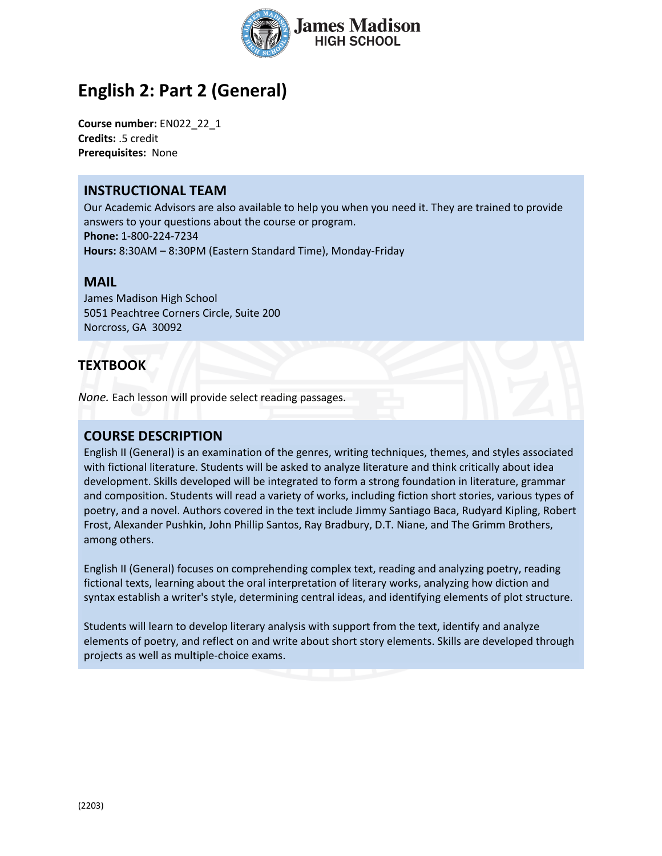

# **English 2: Part 2 (General)**

**Course number:** EN022\_22\_1 **Credits:** .5 credit **Prerequisites:** None

### **INSTRUCTIONAL TEAM**

Our Academic Advisors are also available to help you when you need it. They are trained to provide answers to your questions about the course or program. **Phone:** 1-800-224-7234 **Hours:** 8:30AM – 8:30PM (Eastern Standard Time), Monday-Friday

#### **MAIL**

James Madison High School 5051 Peachtree Corners Circle, Suite 200 Norcross, GA 30092

## **TEXTBOOK**

*None.* Each lesson will provide select reading passages.

### **COURSE DESCRIPTION**

English II (General) is an examination of the genres, writing techniques, themes, and styles associated with fictional literature. Students will be asked to analyze literature and think critically about idea development. Skills developed will be integrated to form a strong foundation in literature, grammar and composition. Students will read a variety of works, including fiction short stories, various types of poetry, and a novel. Authors covered in the text include Jimmy Santiago Baca, Rudyard Kipling, Robert Frost, Alexander Pushkin, John Phillip Santos, Ray Bradbury, D.T. Niane, and The Grimm Brothers, among others.

English II (General) focuses on comprehending complex text, reading and analyzing poetry, reading fictional texts, learning about the oral interpretation of literary works, analyzing how diction and syntax establish a writer's style, determining central ideas, and identifying elements of plot structure.

Students will learn to develop literary analysis with support from the text, identify and analyze elements of poetry, and reflect on and write about short story elements. Skills are developed through projects as well as multiple-choice exams.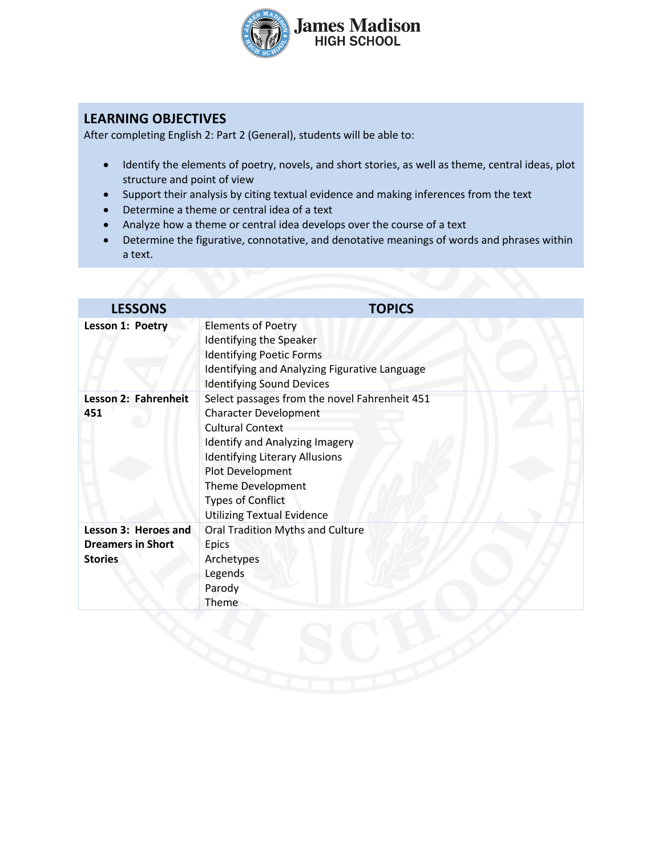

# **LEARNING OBJECTIVES**

After completing English 2: Part 2 (General), students will be able to:

- Identify the elements of poetry, novels, and short stories, as well as theme, central ideas, plot structure and point of view
- Support their analysis by citing textual evidence and making inferences from the text
- Determine a theme or central idea of a text
- Analyze how a theme or central idea develops over the course of a text
- Determine the figurative, connotative, and denotative meanings of words and phrases within a text.

| <b>LESSONS</b>                                                     | <b>TOPICS</b>                                                                                                                                                                                                                                                                                        |
|--------------------------------------------------------------------|------------------------------------------------------------------------------------------------------------------------------------------------------------------------------------------------------------------------------------------------------------------------------------------------------|
| Lesson 1: Poetry                                                   | <b>Elements of Poetry</b><br><b>Identifying the Speaker</b><br><b>Identifying Poetic Forms</b><br>Identifying and Analyzing Figurative Language<br><b>Identifying Sound Devices</b>                                                                                                                  |
| Lesson 2: Fahrenheit<br>451                                        | Select passages from the novel Fahrenheit 451<br><b>Character Development</b><br><b>Cultural Context</b><br><b>Identify and Analyzing Imagery</b><br><b>Identifying Literary Allusions</b><br>Plot Development<br>Theme Development<br><b>Types of Conflict</b><br><b>Utilizing Textual Evidence</b> |
| Lesson 3: Heroes and<br><b>Dreamers in Short</b><br><b>Stories</b> | Oral Tradition Myths and Culture<br>Epics<br>Archetypes<br>Legends<br>Parody<br>Theme                                                                                                                                                                                                                |